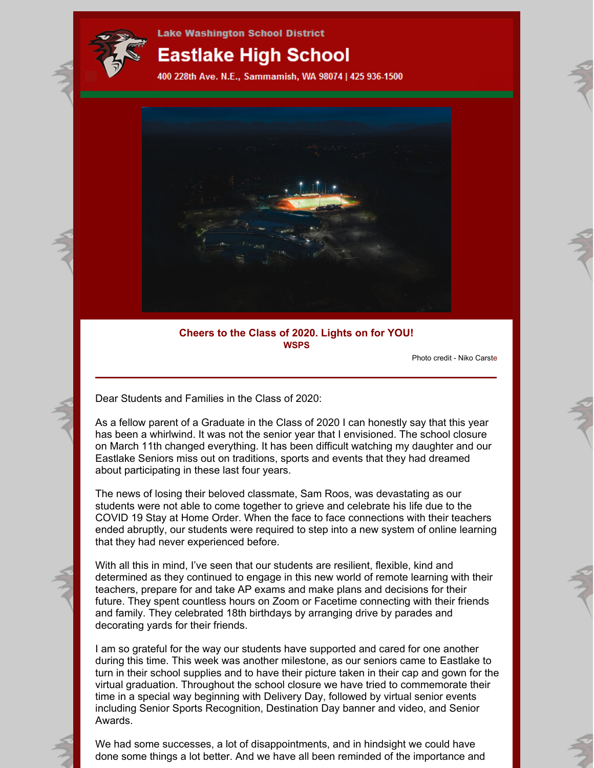

# **Eastlake High School**

400 228th Ave. N.E., Sammamish, WA 98074 | 425 936-1500



# **Cheers to the Class of 2020. Lights on for YOU! WSPS**

Photo credit - Niko Carste

Dear Students and Families in the Class of 2020:

As a fellow parent of a Graduate in the Class of 2020 I can honestly say that this year has been a whirlwind. It was not the senior year that I envisioned. The school closure on March 11th changed everything. It has been difficult watching my daughter and our Eastlake Seniors miss out on traditions, sports and events that they had dreamed about participating in these last four years.

The news of losing their beloved classmate, Sam Roos, was devastating as our students were not able to come together to grieve and celebrate his life due to the COVID 19 Stay at Home Order. When the face to face connections with their teachers ended abruptly, our students were required to step into a new system of online learning that they had never experienced before.

With all this in mind, I've seen that our students are resilient, flexible, kind and determined as they continued to engage in this new world of remote learning with their teachers, prepare for and take AP exams and make plans and decisions for their future. They spent countless hours on Zoom or Facetime connecting with their friends and family. They celebrated 18th birthdays by arranging drive by parades and decorating yards for their friends.

I am so grateful for the way our students have supported and cared for one another during this time. This week was another milestone, as our seniors came to Eastlake to turn in their school supplies and to have their picture taken in their cap and gown for the virtual graduation. Throughout the school closure we have tried to commemorate their time in a special way beginning with Delivery Day, followed by virtual senior events including Senior Sports Recognition, Destination Day banner and video, and Senior Awards.

We had some successes, a lot of disappointments, and in hindsight we could have done some things a lot better. And we have all been reminded of the importance and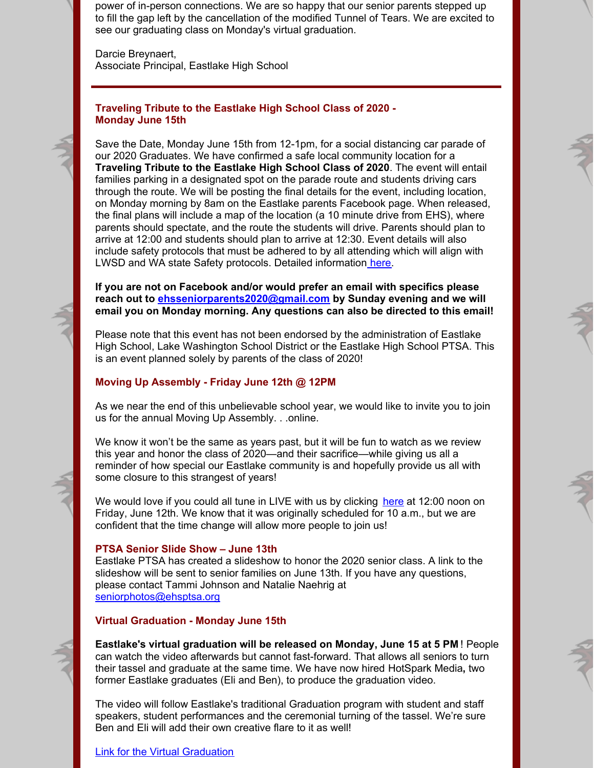power of in-person connections. We are so happy that our senior parents stepped up to fill the gap left by the cancellation of the modified Tunnel of Tears. We are excited to see our graduating class on Monday's virtual graduation.

Darcie Breynaert, Associate Principal, Eastlake High School

## **Traveling Tribute to the Eastlake High School Class of 2020 - Monday June 15th**

Save the Date, Monday June 15th from 12-1pm, for a social distancing car parade of our 2020 Graduates. We have confirmed a safe local community location for a **Traveling Tribute to the Eastlake High School Class of 2020**. The event will entail families parking in a designated spot on the parade route and students driving cars through the route. We will be posting the final details for the event, including location, on Monday morning by 8am on the Eastlake parents Facebook page. When released, the final plans will include a map of the location (a 10 minute drive from EHS), where parents should spectate, and the route the students will drive. Parents should plan to arrive at 12:00 and students should plan to arrive at 12:30. Event details will also include safety protocols that must be adhered to by all attending which will align with LWSD and WA state Safety protocols. Detailed information [here](https://files.constantcontact.com/2940e7f2501/bac44e2b-da94-4002-9c3e-17ddfa2a0294.pdf).

**If you are not on Facebook and/or would prefer an email with specifics please reach out to [ehsseniorparents2020@gmail.com](mailto:ehsseniorparents2020@gmail.com) by Sunday evening and we will email you on Monday morning. Any questions can also be directed to this email!**

Please note that this event has not been endorsed by the administration of Eastlake High School, Lake Washington School District or the Eastlake High School PTSA. This is an event planned solely by parents of the class of 2020!

## **Moving Up Assembly - Friday June 12th @ 12PM**

As we near the end of this unbelievable school year, we would like to invite you to join us for the annual Moving Up Assembly. . .online.

We know it won't be the same as years past, but it will be fun to watch as we review this year and honor the class of 2020—and their sacrifice—while giving us all a reminder of how special our Eastlake community is and hopefully provide us all with some closure to this strangest of years!

We would love if you could all tune in LIVE with us by clicking [here](https://www.youtube.com/watch?v=4DseSzzrztw&feature=youtu.be) at 12:00 noon on Friday, June 12th. We know that it was originally scheduled for 10 a.m., but we are confident that the time change will allow more people to join us!

#### **PTSA Senior Slide Show – June 13th**

Eastlake PTSA has created a slideshow to honor the 2020 senior class. A link to the slideshow will be sent to senior families on June 13th. If you have any questions, please contact Tammi Johnson and Natalie Naehrig at [seniorphotos@ehsptsa.org](mailto:seniorphotos@ehsptsa.org)

# **Virtual Graduation - Monday June 15th**

**Eastlake's virtual graduation will be released on Monday, June 15 at 5 PM** ! People can watch the video afterwards but cannot fast-forward. That allows all seniors to turn their tassel and graduate at the same time. We have now hired HotSpark Media**,** two former Eastlake graduates (Eli and Ben), to produce the graduation video.

The video will follow Eastlake's traditional Graduation program with student and staff speakers, student performances and the ceremonial turning of the tassel. We're sure Ben and Eli will add their own creative flare to it as well!

Link for the Virtual [Graduation](https://www.youtube.com/watch?v=Wc-yU_Y9ZFY&feature=youtu.be)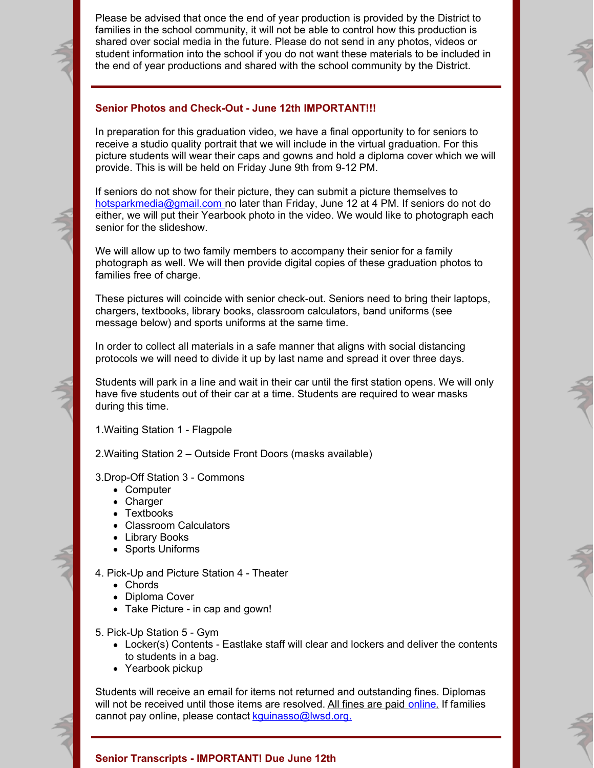Please be advised that once the end of year production is provided by the District to families in the school community, it will not be able to control how this production is shared over social media in the future. Please do not send in any photos, videos or student information into the school if you do not want these materials to be included in the end of year productions and shared with the school community by the District.

## **Senior Photos and Check-Out - June 12th IMPORTANT!!!**

In preparation for this graduation video, we have a final opportunity to for seniors to receive a studio quality portrait that we will include in the virtual graduation. For this picture students will wear their caps and gowns and hold a diploma cover which we will provide. This is will be held on Friday June 9th from 9-12 PM.

If seniors do not show for their picture, they can submit a picture themselves to [hotsparkmedia@gmail.com](mailto:hotsparkmedia@gmail.com) no later than Friday, June 12 at 4 PM. If seniors do not do either, we will put their Yearbook photo in the video. We would like to photograph each senior for the slideshow.

We will allow up to two family members to accompany their senior for a family photograph as well. We will then provide digital copies of these graduation photos to families free of charge.

These pictures will coincide with senior check-out. Seniors need to bring their laptops, chargers, textbooks, library books, classroom calculators, band uniforms (see message below) and sports uniforms at the same time.

In order to collect all materials in a safe manner that aligns with social distancing protocols we will need to divide it up by last name and spread it over three days.

Students will park in a line and wait in their car until the first station opens. We will only have five students out of their car at a time. Students are required to wear masks during this time.

1.Waiting Station 1 - Flagpole

2.Waiting Station 2 – Outside Front Doors (masks available)

3.Drop-Off Station 3 - Commons

- Computer
- Charger
- Textbooks
- Classroom Calculators
- Library Books
- Sports Uniforms
- 4. Pick-Up and Picture Station 4 Theater
	- Chords
	- Diploma Cover
	- Take Picture in cap and gown!
- 5. Pick-Up Station 5 Gym
	- Locker(s) Contents Eastlake staff will clear and lockers and deliver the contents to students in a bag.
	- Yearbook pickup

Students will receive an email for items not returned and outstanding fines. Diplomas will not be received until those items are resolved. All fines are paid [online](https://payments.lwsd.org/). If families cannot pay online, please contact [kguinasso@lwsd.org.](mailto:kguinasso@lwsd.org)

#### **Senior Transcripts - IMPORTANT! Due June 12th**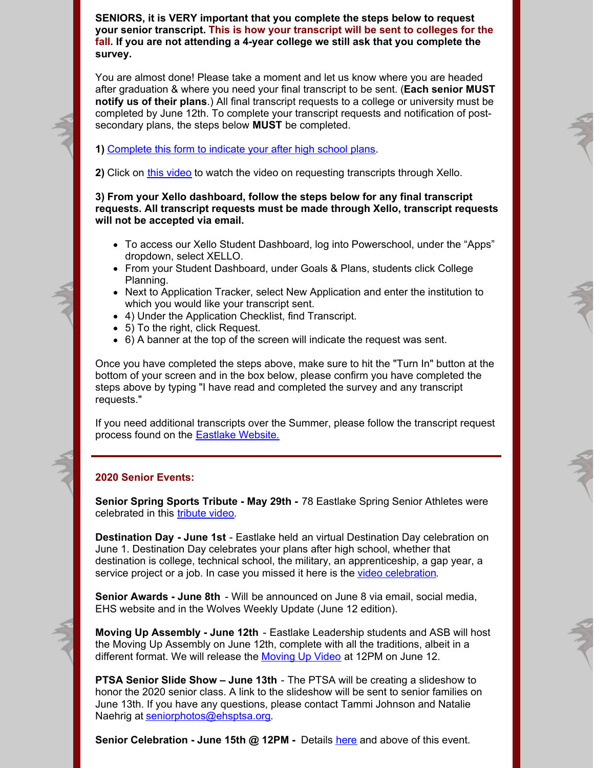**SENIORS, it is VERY important that you complete the steps below to request your senior transcript. This is how your transcript will be sent to colleges for the fall. If you are not attending a 4-year college we still ask that you complete the survey.**

You are almost done! Please take a moment and let us know where you are headed after graduation & where you need your final transcript to be sent. (**Each senior MUST notify us of their plans**.) All final transcript requests to a college or university must be completed by June 12th. To complete your transcript requests and notification of postsecondary plans, the steps below **MUST** be completed.

**1)** [Complete](https://forms.office.com/Pages/ResponsePage.aspx?id=P2fUH5bfIUaGOKHYjEyF16TuMSLMokpFtozNrRjJR3BUME5aREs4SFRSSTBLTDczWjJGWFI2STFURC4u) this form to indicate your after high school plans.

**2)** Click on this [video](https://cc3.blob.core.windows.net/private-customlesson/6297314d-bc0f-4f95-9abe-61551a8401b0.mp4?sv=2017-07-29&sr=b&sig=PHxxBXcmMbqeIYLGUoKaQtTH9kzBkf6V7Q%2B%2FMa04AV8%3D&st=2020-06-10T23%3A10%3A55Z&se=2020-06-11T23%3A15%3A55Z&sp=r) to watch the video on requesting transcripts through Xello.

**3) From your Xello dashboard, follow the steps below for any final transcript requests. All transcript requests must be made through Xello, transcript requests will not be accepted via email.**

- To access our Xello Student Dashboard, log into Powerschool, under the "Apps" dropdown, select XELLO.
- From your Student Dashboard, under Goals & Plans, students click College Planning.
- Next to Application Tracker, select New Application and enter the institution to which you would like your transcript sent.
- 4) Under the Application Checklist, find Transcript.
- 5) To the right, click Request.
- 6) A banner at the top of the screen will indicate the request was sent.

Once you have completed the steps above, make sure to hit the "Turn In" button at the bottom of your screen and in the box below, please confirm you have completed the steps above by typing "I have read and completed the survey and any transcript requests."

If you need additional transcripts over the Summer, please follow the transcript request process found on the [Eastlake](https://ehs.lwsd.org/counseling/transcript-requests) Website.

# **2020 Senior Events:**

**Senior Spring Sports Tribute - May 29th -** 78 Eastlake Spring Senior Athletes were celebrated in this [tribute](https://www.youtube.com/watch?v=SNTCbWeAcuk&feature=youtu.be) video.

**Destination Day - June 1st** - Eastlake held an virtual Destination Day celebration on June 1. Destination Day celebrates your plans after high school, whether that destination is college, technical school, the military, an apprenticeship, a gap year, a service project or a job. In case you missed it here is the video [celebration](https://www.youtube.com/watch?v=GxnNAkLekgE&app=desktop).

**Senior Awards - June 8th** - Will be announced on June 8 via email, social media, EHS website and in the Wolves Weekly Update (June 12 edition).

**Moving Up Assembly - June 12th** - Eastlake Leadership students and ASB will host the Moving Up Assembly on June 12th, complete with all the traditions, albeit in a different format. We will release the [Moving](https://www.youtube.com/watch?v=4DseSzzrztw&feature=youtu.be) Up Video at 12PM on June 12.

**PTSA Senior Slide Show – June 13th** - The PTSA will be creating a slideshow to honor the 2020 senior class. A link to the slideshow will be sent to senior families on June 13th. If you have any questions, please contact Tammi Johnson and Natalie Naehrig at [seniorphotos@ehsptsa.org](mailto:seniorphotos@ehsptsa.org).